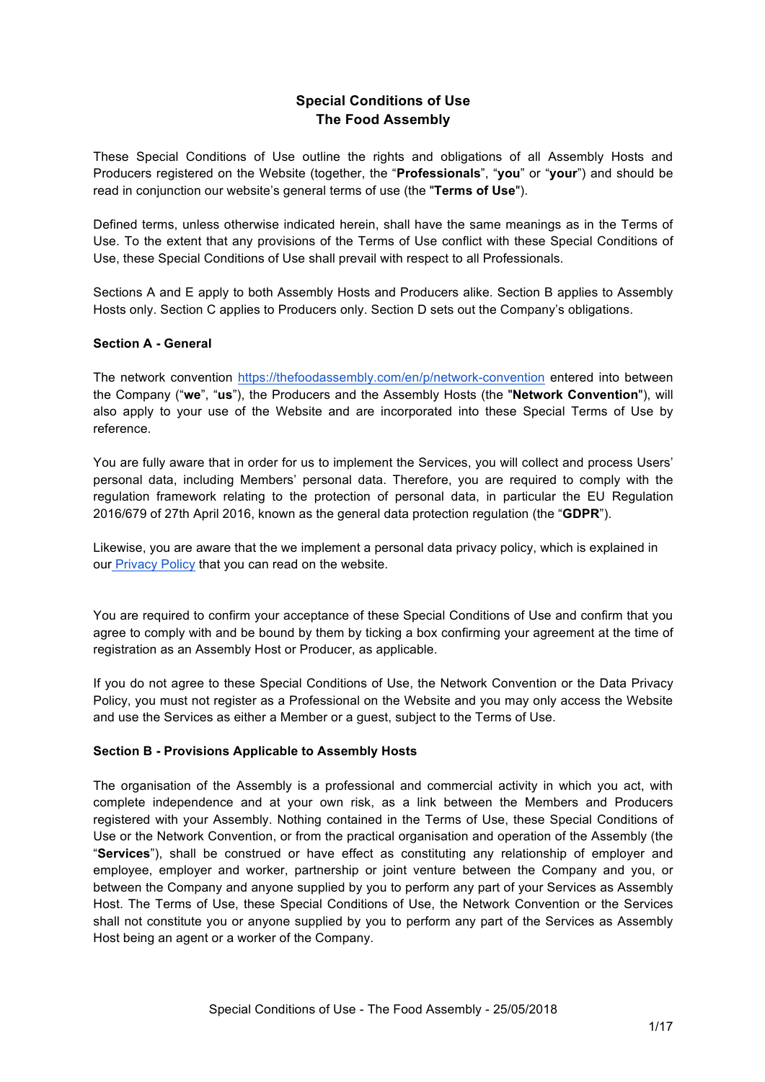# **Special Conditions of Use The Food Assembly**

These Special Conditions of Use outline the rights and obligations of all Assembly Hosts and Producers registered on the Website (together, the "**Professionals**", "**you**" or "**your**") and should be read in conjunction our website's general terms of use (the "**Terms of Use**").

Defined terms, unless otherwise indicated herein, shall have the same meanings as in the Terms of Use. To the extent that any provisions of the Terms of Use conflict with these Special Conditions of Use, these Special Conditions of Use shall prevail with respect to all Professionals.

Sections A and E apply to both Assembly Hosts and Producers alike. Section B applies to Assembly Hosts only. Section C applies to Producers only. Section D sets out the Company's obligations.

#### **Section A - General**

The network convention https://thefoodassembly.com/en/p/network-convention entered into between the Company ("**we**", "**us**"), the Producers and the Assembly Hosts (the "**Network Convention**"), will also apply to your use of the Website and are incorporated into these Special Terms of Use by reference.

You are fully aware that in order for us to implement the Services, you will collect and process Users' personal data, including Members' personal data. Therefore, you are required to comply with the regulation framework relating to the protection of personal data, in particular the EU Regulation 2016/679 of 27th April 2016, known as the general data protection regulation (the "**GDPR**").

Likewise, you are aware that the we implement a personal data privacy policy, which is explained in our Privacy Policy that you can read on the website.

You are required to confirm your acceptance of these Special Conditions of Use and confirm that you agree to comply with and be bound by them by ticking a box confirming your agreement at the time of registration as an Assembly Host or Producer, as applicable.

If you do not agree to these Special Conditions of Use, the Network Convention or the Data Privacy Policy, you must not register as a Professional on the Website and you may only access the Website and use the Services as either a Member or a guest, subject to the Terms of Use.

#### **Section B - Provisions Applicable to Assembly Hosts**

The organisation of the Assembly is a professional and commercial activity in which you act, with complete independence and at your own risk, as a link between the Members and Producers registered with your Assembly. Nothing contained in the Terms of Use, these Special Conditions of Use or the Network Convention, or from the practical organisation and operation of the Assembly (the "**Services**"), shall be construed or have effect as constituting any relationship of employer and employee, employer and worker, partnership or joint venture between the Company and you, or between the Company and anyone supplied by you to perform any part of your Services as Assembly Host. The Terms of Use, these Special Conditions of Use, the Network Convention or the Services shall not constitute you or anyone supplied by you to perform any part of the Services as Assembly Host being an agent or a worker of the Company.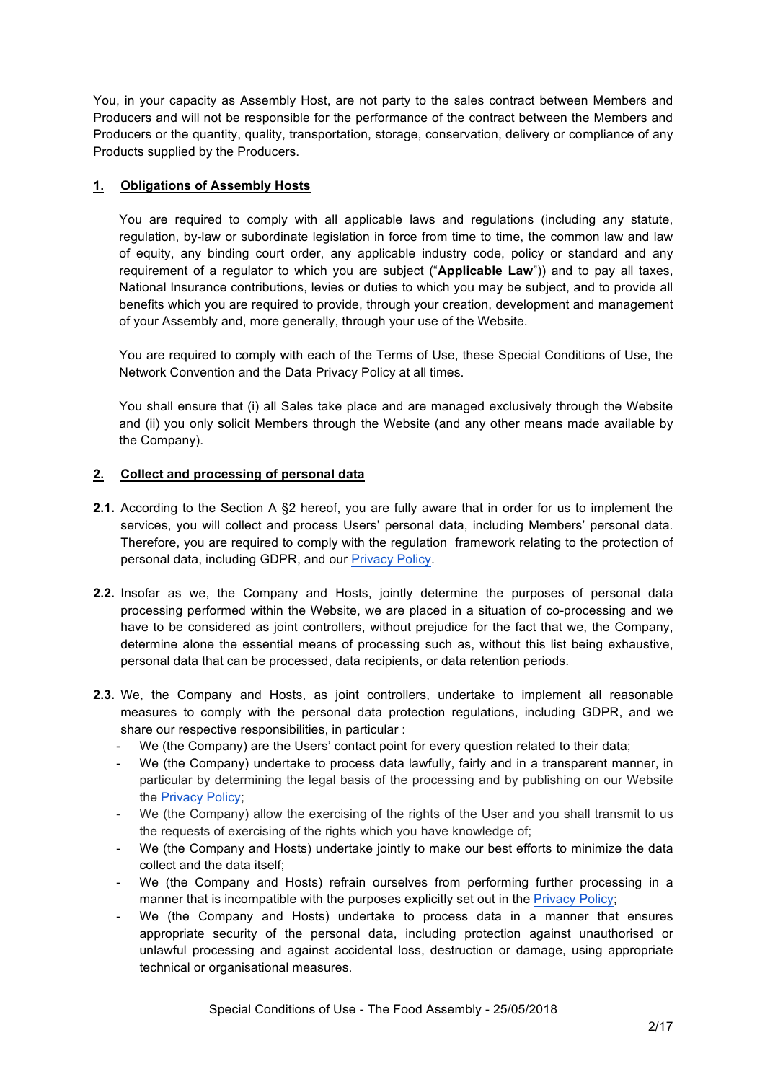You, in your capacity as Assembly Host, are not party to the sales contract between Members and Producers and will not be responsible for the performance of the contract between the Members and Producers or the quantity, quality, transportation, storage, conservation, delivery or compliance of any Products supplied by the Producers.

## **1. Obligations of Assembly Hosts**

You are required to comply with all applicable laws and regulations (including any statute, regulation, by-law or subordinate legislation in force from time to time, the common law and law of equity, any binding court order, any applicable industry code, policy or standard and any requirement of a regulator to which you are subject ("**Applicable Law**")) and to pay all taxes, National Insurance contributions, levies or duties to which you may be subject, and to provide all benefits which you are required to provide, through your creation, development and management of your Assembly and, more generally, through your use of the Website.

You are required to comply with each of the Terms of Use, these Special Conditions of Use, the Network Convention and the Data Privacy Policy at all times.

You shall ensure that (i) all Sales take place and are managed exclusively through the Website and (ii) you only solicit Members through the Website (and any other means made available by the Company).

## **2. Collect and processing of personal data**

- **2.1.** According to the Section A §2 hereof, you are fully aware that in order for us to implement the services, you will collect and process Users' personal data, including Members' personal data. Therefore, you are required to comply with the regulation framework relating to the protection of personal data, including GDPR, and our Privacy Policy.
- **2.2.** Insofar as we, the Company and Hosts, jointly determine the purposes of personal data processing performed within the Website, we are placed in a situation of co-processing and we have to be considered as joint controllers, without prejudice for the fact that we, the Company, determine alone the essential means of processing such as, without this list being exhaustive, personal data that can be processed, data recipients, or data retention periods.
- **2.3.** We, the Company and Hosts, as joint controllers, undertake to implement all reasonable measures to comply with the personal data protection regulations, including GDPR, and we share our respective responsibilities, in particular :
	- We (the Company) are the Users' contact point for every question related to their data;
	- We (the Company) undertake to process data lawfully, fairly and in a transparent manner, in particular by determining the legal basis of the processing and by publishing on our Website the Privacy Policy;
	- We (the Company) allow the exercising of the rights of the User and you shall transmit to us the requests of exercising of the rights which you have knowledge of;
	- We (the Company and Hosts) undertake jointly to make our best efforts to minimize the data collect and the data itself;
	- We (the Company and Hosts) refrain ourselves from performing further processing in a manner that is incompatible with the purposes explicitly set out in the Privacy Policy;
	- We (the Company and Hosts) undertake to process data in a manner that ensures appropriate security of the personal data, including protection against unauthorised or unlawful processing and against accidental loss, destruction or damage, using appropriate technical or organisational measures.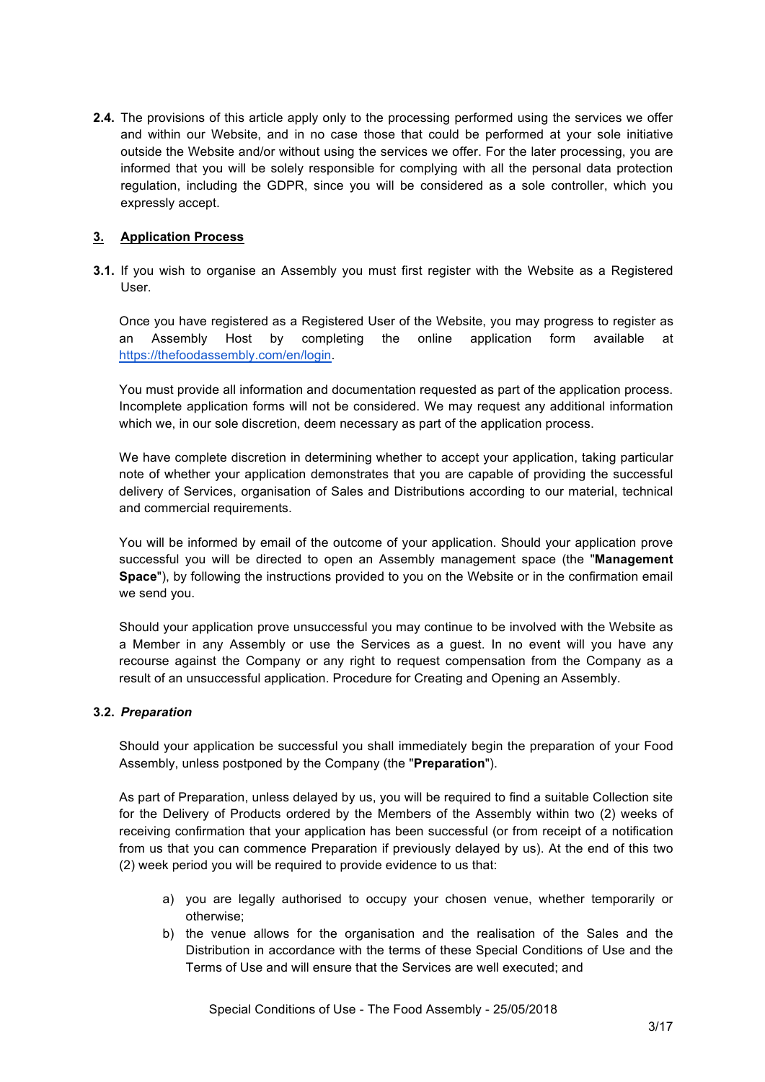**2.4.** The provisions of this article apply only to the processing performed using the services we offer and within our Website, and in no case those that could be performed at your sole initiative outside the Website and/or without using the services we offer. For the later processing, you are informed that you will be solely responsible for complying with all the personal data protection regulation, including the GDPR, since you will be considered as a sole controller, which you expressly accept.

### **3. Application Process**

**3.1.** If you wish to organise an Assembly you must first register with the Website as a Registered User.

Once you have registered as a Registered User of the Website, you may progress to register as Assembly Host by completing the online application form available at https://thefoodassembly.com/en/login.

You must provide all information and documentation requested as part of the application process. Incomplete application forms will not be considered. We may request any additional information which we, in our sole discretion, deem necessary as part of the application process.

We have complete discretion in determining whether to accept your application, taking particular note of whether your application demonstrates that you are capable of providing the successful delivery of Services, organisation of Sales and Distributions according to our material, technical and commercial requirements.

You will be informed by email of the outcome of your application. Should your application prove successful you will be directed to open an Assembly management space (the "**Management Space**"), by following the instructions provided to you on the Website or in the confirmation email we send you.

Should your application prove unsuccessful you may continue to be involved with the Website as a Member in any Assembly or use the Services as a guest. In no event will you have any recourse against the Company or any right to request compensation from the Company as a result of an unsuccessful application. Procedure for Creating and Opening an Assembly.

#### **3.2.** *Preparation*

Should your application be successful you shall immediately begin the preparation of your Food Assembly, unless postponed by the Company (the "**Preparation**").

As part of Preparation, unless delayed by us, you will be required to find a suitable Collection site for the Delivery of Products ordered by the Members of the Assembly within two (2) weeks of receiving confirmation that your application has been successful (or from receipt of a notification from us that you can commence Preparation if previously delayed by us). At the end of this two (2) week period you will be required to provide evidence to us that:

- a) you are legally authorised to occupy your chosen venue, whether temporarily or otherwise;
- b) the venue allows for the organisation and the realisation of the Sales and the Distribution in accordance with the terms of these Special Conditions of Use and the Terms of Use and will ensure that the Services are well executed; and

Special Conditions of Use - The Food Assembly - 25/05/2018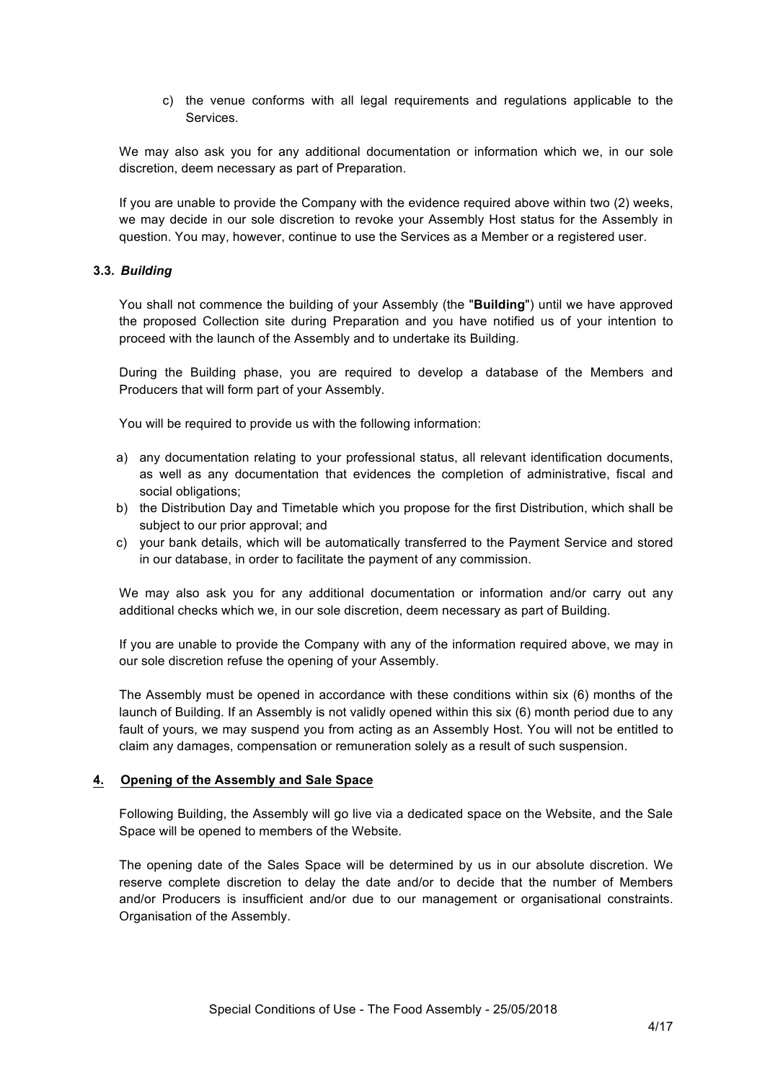c) the venue conforms with all legal requirements and regulations applicable to the Services.

We may also ask you for any additional documentation or information which we, in our sole discretion, deem necessary as part of Preparation.

If you are unable to provide the Company with the evidence required above within two (2) weeks, we may decide in our sole discretion to revoke your Assembly Host status for the Assembly in question. You may, however, continue to use the Services as a Member or a registered user.

#### **3.3.** *Building*

You shall not commence the building of your Assembly (the "**Building**") until we have approved the proposed Collection site during Preparation and you have notified us of your intention to proceed with the launch of the Assembly and to undertake its Building.

During the Building phase, you are required to develop a database of the Members and Producers that will form part of your Assembly.

You will be required to provide us with the following information:

- a) any documentation relating to your professional status, all relevant identification documents, as well as any documentation that evidences the completion of administrative, fiscal and social obligations;
- b) the Distribution Day and Timetable which you propose for the first Distribution, which shall be subject to our prior approval; and
- c) your bank details, which will be automatically transferred to the Payment Service and stored in our database, in order to facilitate the payment of any commission.

We may also ask you for any additional documentation or information and/or carry out any additional checks which we, in our sole discretion, deem necessary as part of Building.

If you are unable to provide the Company with any of the information required above, we may in our sole discretion refuse the opening of your Assembly.

The Assembly must be opened in accordance with these conditions within six (6) months of the launch of Building. If an Assembly is not validly opened within this six (6) month period due to any fault of yours, we may suspend you from acting as an Assembly Host. You will not be entitled to claim any damages, compensation or remuneration solely as a result of such suspension.

#### **4. Opening of the Assembly and Sale Space**

Following Building, the Assembly will go live via a dedicated space on the Website, and the Sale Space will be opened to members of the Website.

The opening date of the Sales Space will be determined by us in our absolute discretion. We reserve complete discretion to delay the date and/or to decide that the number of Members and/or Producers is insufficient and/or due to our management or organisational constraints. Organisation of the Assembly.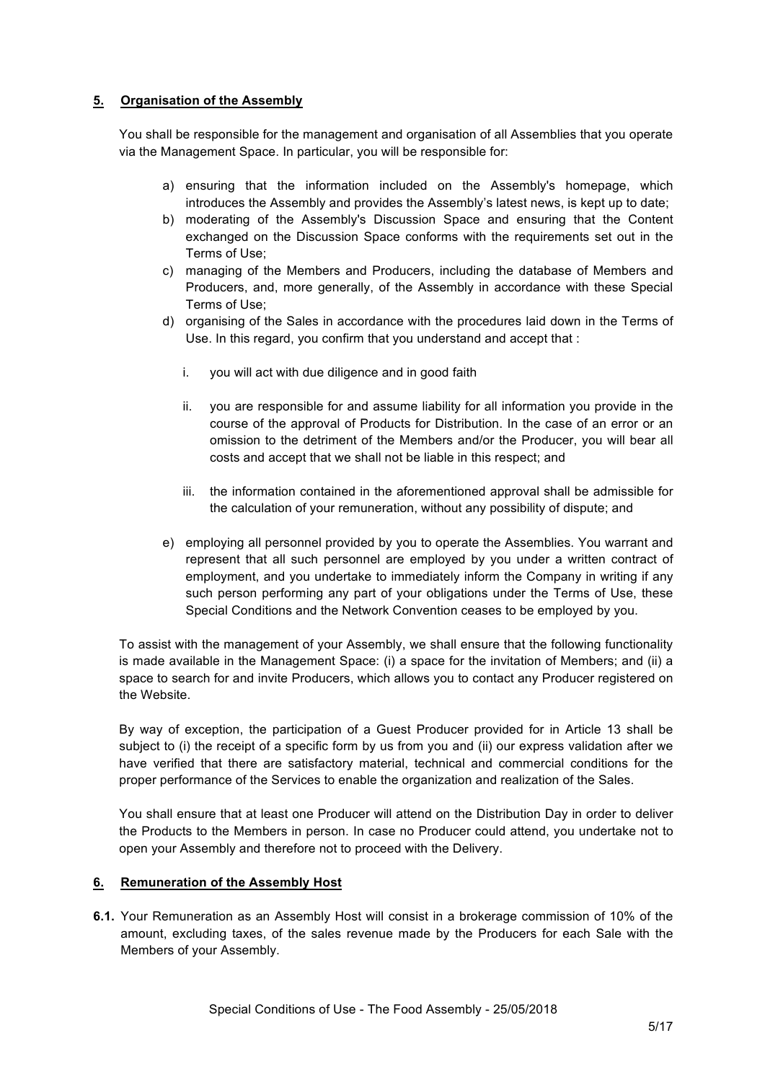### **5. Organisation of the Assembly**

You shall be responsible for the management and organisation of all Assemblies that you operate via the Management Space. In particular, you will be responsible for:

- a) ensuring that the information included on the Assembly's homepage, which introduces the Assembly and provides the Assembly's latest news, is kept up to date;
- b) moderating of the Assembly's Discussion Space and ensuring that the Content exchanged on the Discussion Space conforms with the requirements set out in the Terms of Use;
- c) managing of the Members and Producers, including the database of Members and Producers, and, more generally, of the Assembly in accordance with these Special Terms of Use;
- d) organising of the Sales in accordance with the procedures laid down in the Terms of Use. In this regard, you confirm that you understand and accept that :
	- i. you will act with due diligence and in good faith
	- ii. you are responsible for and assume liability for all information you provide in the course of the approval of Products for Distribution. In the case of an error or an omission to the detriment of the Members and/or the Producer, you will bear all costs and accept that we shall not be liable in this respect; and
	- iii. the information contained in the aforementioned approval shall be admissible for the calculation of your remuneration, without any possibility of dispute; and
- e) employing all personnel provided by you to operate the Assemblies. You warrant and represent that all such personnel are employed by you under a written contract of employment, and you undertake to immediately inform the Company in writing if any such person performing any part of your obligations under the Terms of Use, these Special Conditions and the Network Convention ceases to be employed by you.

To assist with the management of your Assembly, we shall ensure that the following functionality is made available in the Management Space: (i) a space for the invitation of Members; and (ii) a space to search for and invite Producers, which allows you to contact any Producer registered on the Website.

By way of exception, the participation of a Guest Producer provided for in Article 13 shall be subject to (i) the receipt of a specific form by us from you and (ii) our express validation after we have verified that there are satisfactory material, technical and commercial conditions for the proper performance of the Services to enable the organization and realization of the Sales.

You shall ensure that at least one Producer will attend on the Distribution Day in order to deliver the Products to the Members in person. In case no Producer could attend, you undertake not to open your Assembly and therefore not to proceed with the Delivery.

#### **6. Remuneration of the Assembly Host**

**6.1.** Your Remuneration as an Assembly Host will consist in a brokerage commission of 10% of the amount, excluding taxes, of the sales revenue made by the Producers for each Sale with the Members of your Assembly.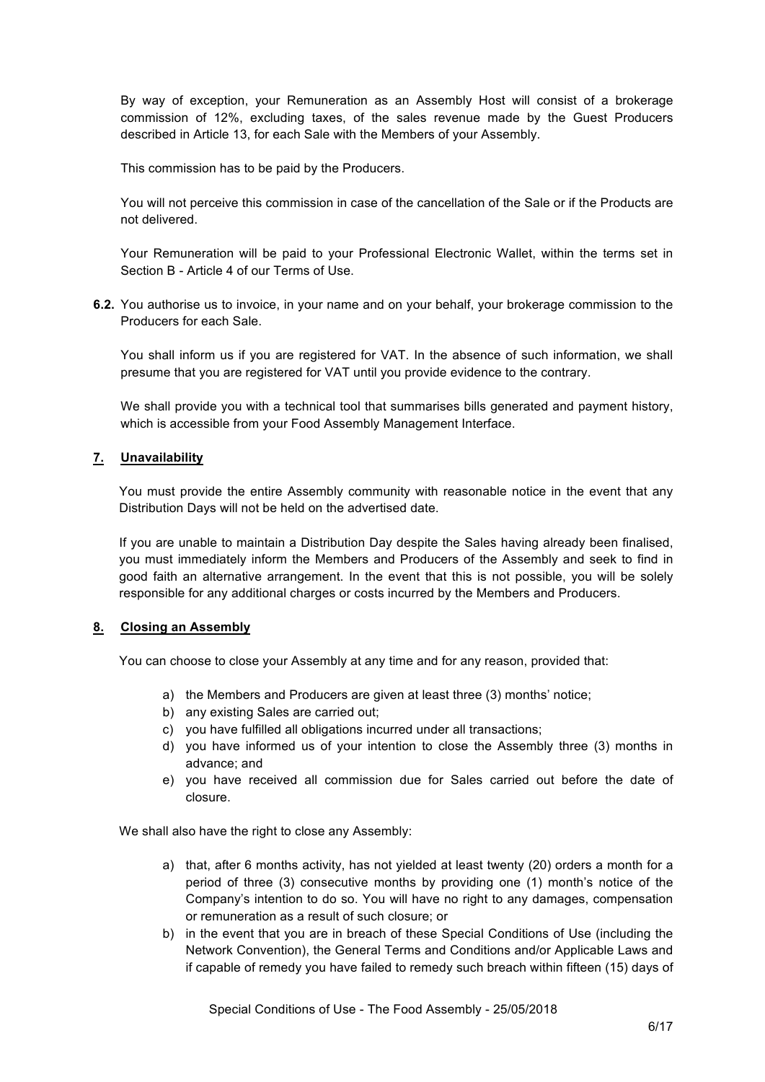By way of exception, your Remuneration as an Assembly Host will consist of a brokerage commission of 12%, excluding taxes, of the sales revenue made by the Guest Producers described in Article 13, for each Sale with the Members of your Assembly.

This commission has to be paid by the Producers.

You will not perceive this commission in case of the cancellation of the Sale or if the Products are not delivered.

Your Remuneration will be paid to your Professional Electronic Wallet, within the terms set in Section B - Article 4 of our Terms of Use.

**6.2.** You authorise us to invoice, in your name and on your behalf, your brokerage commission to the Producers for each Sale.

You shall inform us if you are registered for VAT. In the absence of such information, we shall presume that you are registered for VAT until you provide evidence to the contrary.

We shall provide you with a technical tool that summarises bills generated and payment history, which is accessible from your Food Assembly Management Interface.

### **7. Unavailability**

You must provide the entire Assembly community with reasonable notice in the event that any Distribution Days will not be held on the advertised date.

If you are unable to maintain a Distribution Day despite the Sales having already been finalised, you must immediately inform the Members and Producers of the Assembly and seek to find in good faith an alternative arrangement. In the event that this is not possible, you will be solely responsible for any additional charges or costs incurred by the Members and Producers.

#### **8. Closing an Assembly**

You can choose to close your Assembly at any time and for any reason, provided that:

- a) the Members and Producers are given at least three (3) months' notice;
- b) any existing Sales are carried out;
- c) you have fulfilled all obligations incurred under all transactions;
- d) you have informed us of your intention to close the Assembly three (3) months in advance; and
- e) you have received all commission due for Sales carried out before the date of closure.

We shall also have the right to close any Assembly:

- a) that, after 6 months activity, has not yielded at least twenty (20) orders a month for a period of three (3) consecutive months by providing one (1) month's notice of the Company's intention to do so. You will have no right to any damages, compensation or remuneration as a result of such closure; or
- b) in the event that you are in breach of these Special Conditions of Use (including the Network Convention), the General Terms and Conditions and/or Applicable Laws and if capable of remedy you have failed to remedy such breach within fifteen (15) days of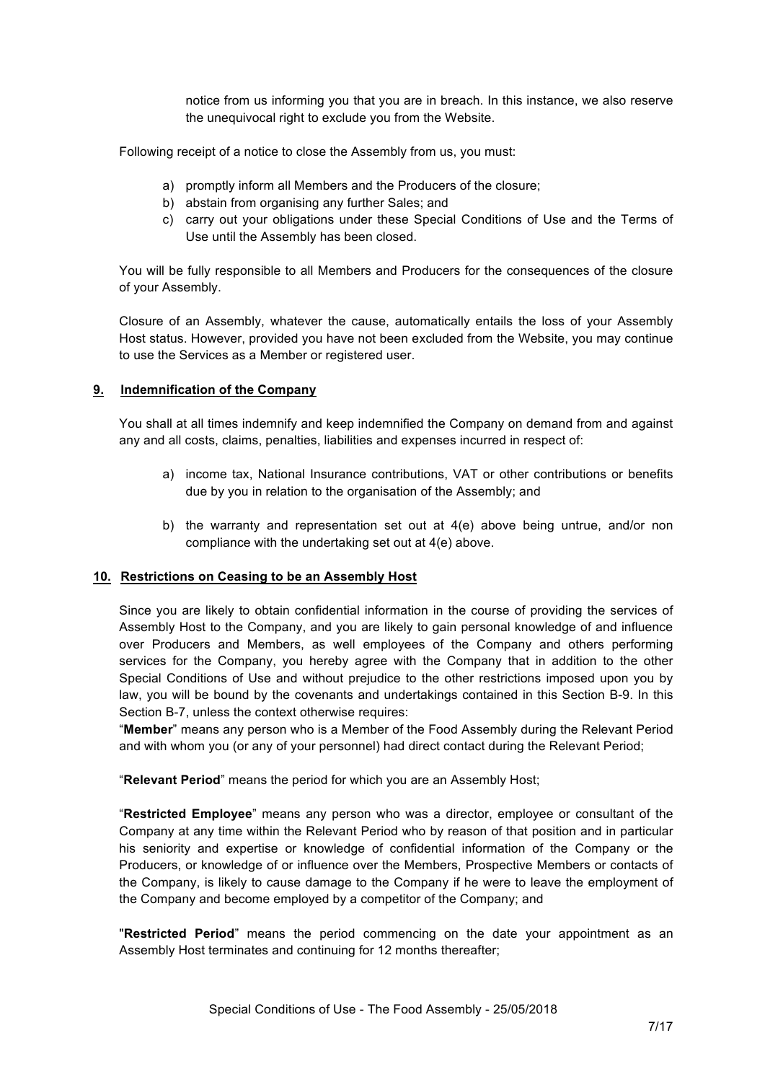notice from us informing you that you are in breach. In this instance, we also reserve the unequivocal right to exclude you from the Website.

Following receipt of a notice to close the Assembly from us, you must:

- a) promptly inform all Members and the Producers of the closure;
- b) abstain from organising any further Sales; and
- c) carry out your obligations under these Special Conditions of Use and the Terms of Use until the Assembly has been closed.

You will be fully responsible to all Members and Producers for the consequences of the closure of your Assembly.

Closure of an Assembly, whatever the cause, automatically entails the loss of your Assembly Host status. However, provided you have not been excluded from the Website, you may continue to use the Services as a Member or registered user.

#### **9. Indemnification of the Company**

You shall at all times indemnify and keep indemnified the Company on demand from and against any and all costs, claims, penalties, liabilities and expenses incurred in respect of:

- a) income tax, National Insurance contributions, VAT or other contributions or benefits due by you in relation to the organisation of the Assembly; and
- b) the warranty and representation set out at  $4(e)$  above being untrue, and/or non compliance with the undertaking set out at 4(e) above.

#### **10. Restrictions on Ceasing to be an Assembly Host**

Since you are likely to obtain confidential information in the course of providing the services of Assembly Host to the Company, and you are likely to gain personal knowledge of and influence over Producers and Members, as well employees of the Company and others performing services for the Company, you hereby agree with the Company that in addition to the other Special Conditions of Use and without prejudice to the other restrictions imposed upon you by law, you will be bound by the covenants and undertakings contained in this Section B-9. In this Section B-7, unless the context otherwise requires:

"**Member**" means any person who is a Member of the Food Assembly during the Relevant Period and with whom you (or any of your personnel) had direct contact during the Relevant Period;

"**Relevant Period**" means the period for which you are an Assembly Host;

"**Restricted Employee**" means any person who was a director, employee or consultant of the Company at any time within the Relevant Period who by reason of that position and in particular his seniority and expertise or knowledge of confidential information of the Company or the Producers, or knowledge of or influence over the Members, Prospective Members or contacts of the Company, is likely to cause damage to the Company if he were to leave the employment of the Company and become employed by a competitor of the Company; and

"**Restricted Period**" means the period commencing on the date your appointment as an Assembly Host terminates and continuing for 12 months thereafter;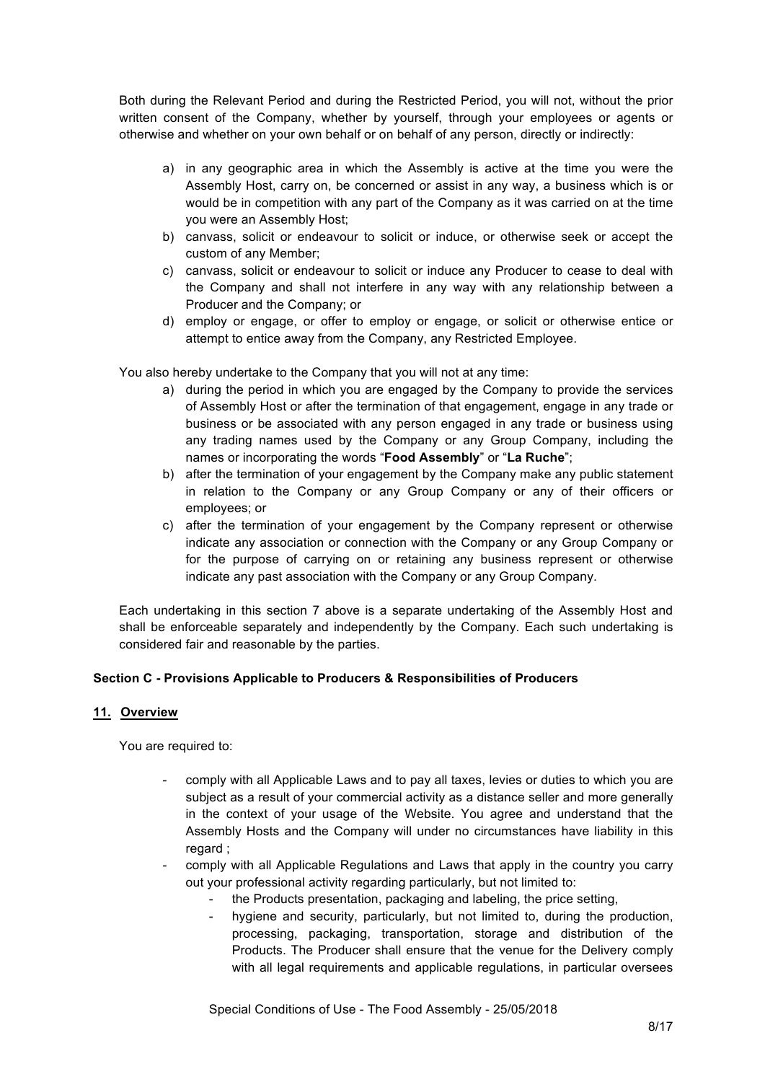Both during the Relevant Period and during the Restricted Period, you will not, without the prior written consent of the Company, whether by yourself, through your employees or agents or otherwise and whether on your own behalf or on behalf of any person, directly or indirectly:

- a) in any geographic area in which the Assembly is active at the time you were the Assembly Host, carry on, be concerned or assist in any way, a business which is or would be in competition with any part of the Company as it was carried on at the time you were an Assembly Host;
- b) canvass, solicit or endeavour to solicit or induce, or otherwise seek or accept the custom of any Member;
- c) canvass, solicit or endeavour to solicit or induce any Producer to cease to deal with the Company and shall not interfere in any way with any relationship between a Producer and the Company; or
- d) employ or engage, or offer to employ or engage, or solicit or otherwise entice or attempt to entice away from the Company, any Restricted Employee.

You also hereby undertake to the Company that you will not at any time:

- a) during the period in which you are engaged by the Company to provide the services of Assembly Host or after the termination of that engagement, engage in any trade or business or be associated with any person engaged in any trade or business using any trading names used by the Company or any Group Company, including the names or incorporating the words "**Food Assembly**" or "**La Ruche**";
- b) after the termination of your engagement by the Company make any public statement in relation to the Company or any Group Company or any of their officers or employees; or
- c) after the termination of your engagement by the Company represent or otherwise indicate any association or connection with the Company or any Group Company or for the purpose of carrying on or retaining any business represent or otherwise indicate any past association with the Company or any Group Company.

Each undertaking in this section 7 above is a separate undertaking of the Assembly Host and shall be enforceable separately and independently by the Company. Each such undertaking is considered fair and reasonable by the parties.

## **Section C - Provisions Applicable to Producers & Responsibilities of Producers**

#### **11. Overview**

You are required to:

- comply with all Applicable Laws and to pay all taxes, levies or duties to which you are subject as a result of your commercial activity as a distance seller and more generally in the context of your usage of the Website. You agree and understand that the Assembly Hosts and the Company will under no circumstances have liability in this regard ;
- comply with all Applicable Regulations and Laws that apply in the country you carry out your professional activity regarding particularly, but not limited to:
	- the Products presentation, packaging and labeling, the price setting,
	- hygiene and security, particularly, but not limited to, during the production, processing, packaging, transportation, storage and distribution of the Products. The Producer shall ensure that the venue for the Delivery comply with all legal requirements and applicable regulations, in particular oversees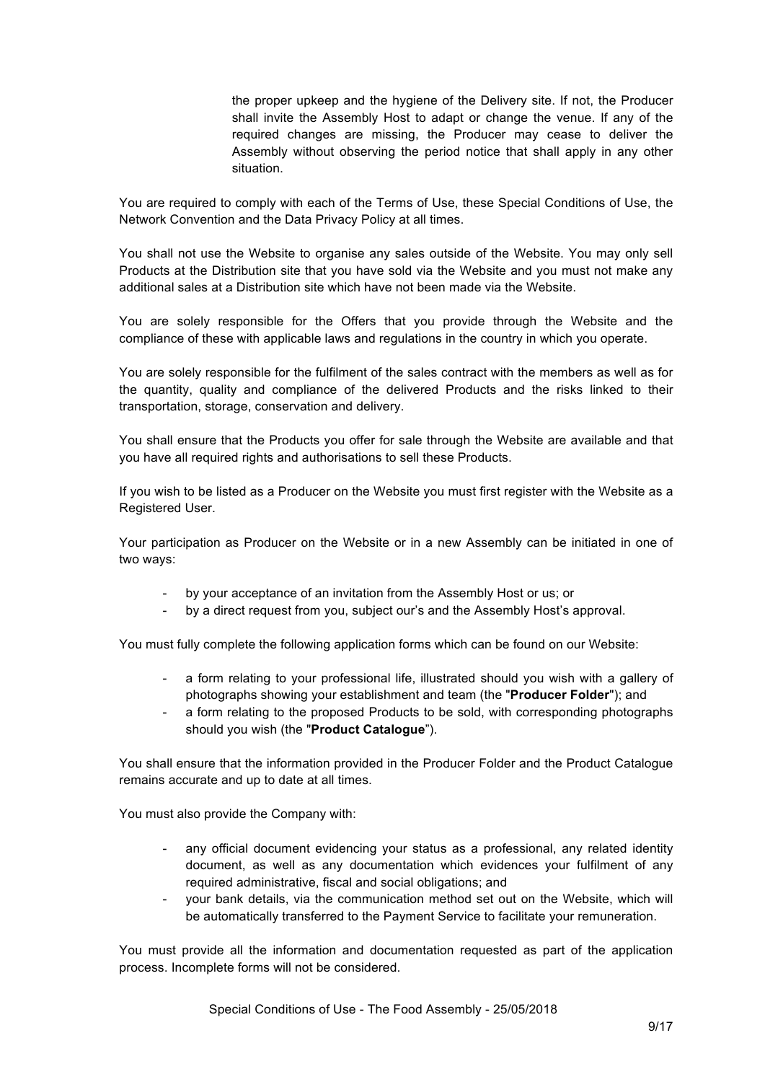the proper upkeep and the hygiene of the Delivery site. If not, the Producer shall invite the Assembly Host to adapt or change the venue. If any of the required changes are missing, the Producer may cease to deliver the Assembly without observing the period notice that shall apply in any other situation.

You are required to comply with each of the Terms of Use, these Special Conditions of Use, the Network Convention and the Data Privacy Policy at all times.

You shall not use the Website to organise any sales outside of the Website. You may only sell Products at the Distribution site that you have sold via the Website and you must not make any additional sales at a Distribution site which have not been made via the Website.

You are solely responsible for the Offers that you provide through the Website and the compliance of these with applicable laws and regulations in the country in which you operate.

You are solely responsible for the fulfilment of the sales contract with the members as well as for the quantity, quality and compliance of the delivered Products and the risks linked to their transportation, storage, conservation and delivery.

You shall ensure that the Products you offer for sale through the Website are available and that you have all required rights and authorisations to sell these Products.

If you wish to be listed as a Producer on the Website you must first register with the Website as a Registered User.

Your participation as Producer on the Website or in a new Assembly can be initiated in one of two ways:

- by your acceptance of an invitation from the Assembly Host or us; or
- by a direct request from you, subject our's and the Assembly Host's approval.

You must fully complete the following application forms which can be found on our Website:

- a form relating to your professional life, illustrated should you wish with a gallery of photographs showing your establishment and team (the "**Producer Folder**"); and
- a form relating to the proposed Products to be sold, with corresponding photographs should you wish (the "**Product Catalogue**").

You shall ensure that the information provided in the Producer Folder and the Product Catalogue remains accurate and up to date at all times.

You must also provide the Company with:

- any official document evidencing your status as a professional, any related identity document, as well as any documentation which evidences your fulfilment of any required administrative, fiscal and social obligations; and
- your bank details, via the communication method set out on the Website, which will be automatically transferred to the Payment Service to facilitate your remuneration.

You must provide all the information and documentation requested as part of the application process. Incomplete forms will not be considered.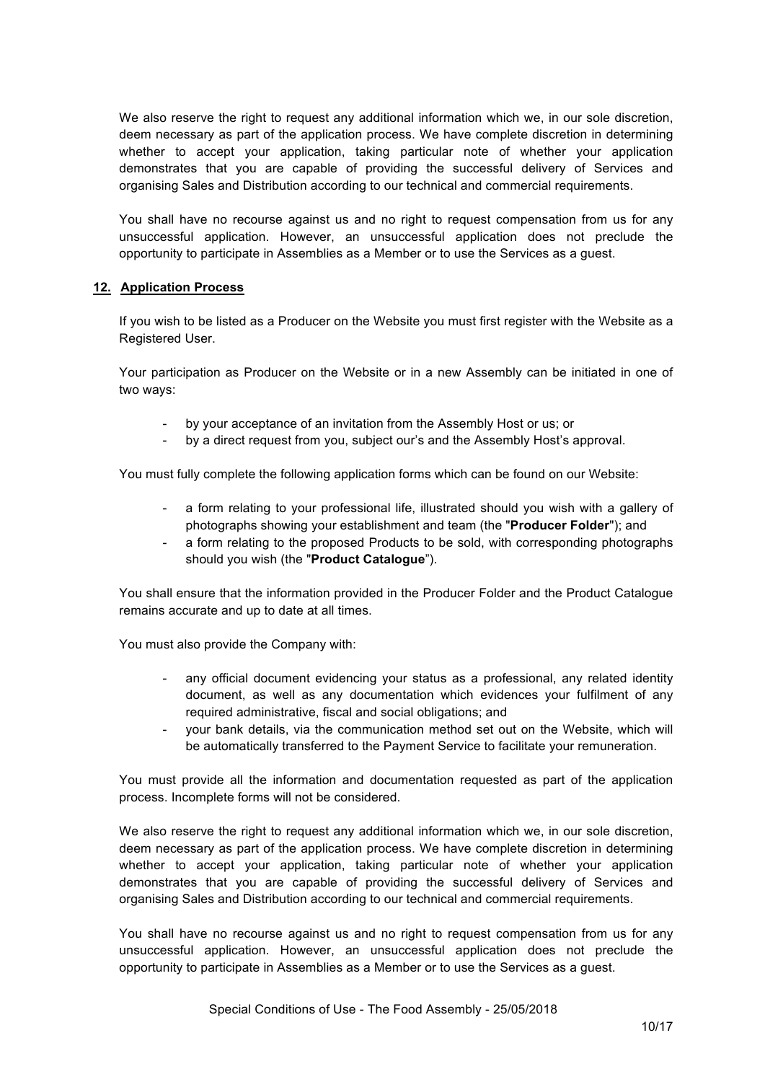We also reserve the right to request any additional information which we, in our sole discretion, deem necessary as part of the application process. We have complete discretion in determining whether to accept your application, taking particular note of whether your application demonstrates that you are capable of providing the successful delivery of Services and organising Sales and Distribution according to our technical and commercial requirements.

You shall have no recourse against us and no right to request compensation from us for any unsuccessful application. However, an unsuccessful application does not preclude the opportunity to participate in Assemblies as a Member or to use the Services as a guest.

### **12. Application Process**

If you wish to be listed as a Producer on the Website you must first register with the Website as a Registered User.

Your participation as Producer on the Website or in a new Assembly can be initiated in one of two ways:

- by your acceptance of an invitation from the Assembly Host or us; or
- by a direct request from you, subject our's and the Assembly Host's approval.

You must fully complete the following application forms which can be found on our Website:

- a form relating to your professional life, illustrated should you wish with a gallery of photographs showing your establishment and team (the "**Producer Folder**"); and
- a form relating to the proposed Products to be sold, with corresponding photographs should you wish (the "**Product Catalogue**").

You shall ensure that the information provided in the Producer Folder and the Product Catalogue remains accurate and up to date at all times.

You must also provide the Company with:

- any official document evidencing your status as a professional, any related identity document, as well as any documentation which evidences your fulfilment of any required administrative, fiscal and social obligations; and
- your bank details, via the communication method set out on the Website, which will be automatically transferred to the Payment Service to facilitate your remuneration.

You must provide all the information and documentation requested as part of the application process. Incomplete forms will not be considered.

We also reserve the right to request any additional information which we, in our sole discretion, deem necessary as part of the application process. We have complete discretion in determining whether to accept your application, taking particular note of whether your application demonstrates that you are capable of providing the successful delivery of Services and organising Sales and Distribution according to our technical and commercial requirements.

You shall have no recourse against us and no right to request compensation from us for any unsuccessful application. However, an unsuccessful application does not preclude the opportunity to participate in Assemblies as a Member or to use the Services as a guest.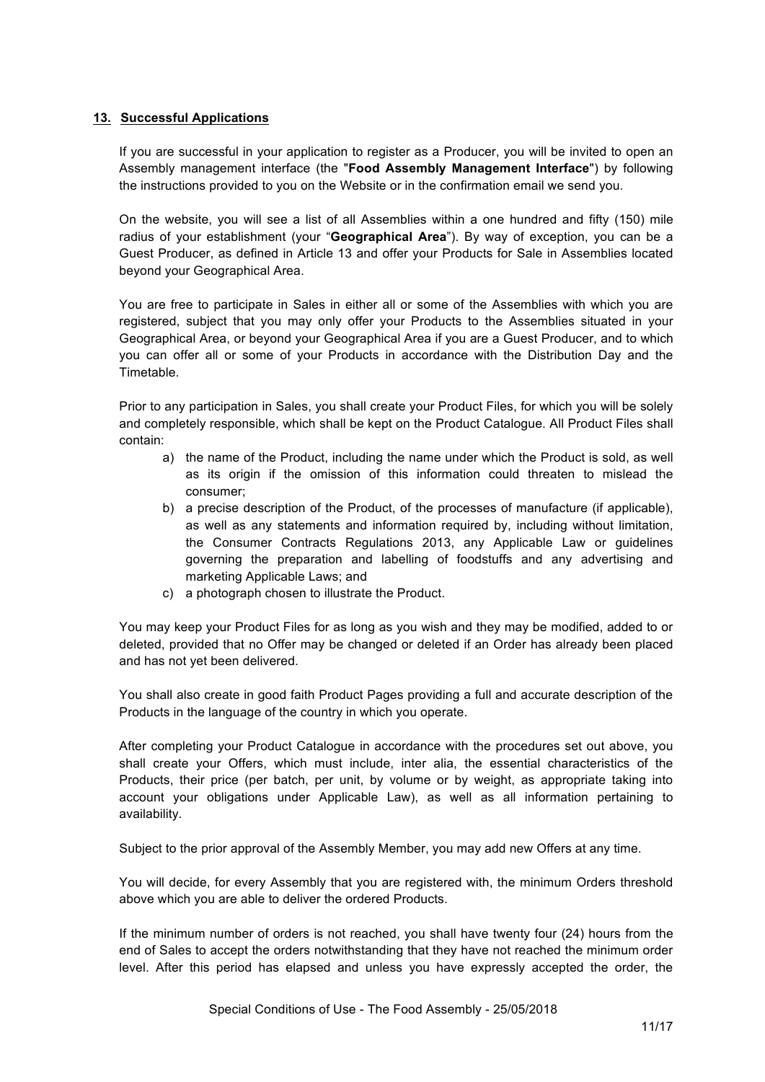### **13. Successful Applications**

If you are successful in your application to register as a Producer, you will be invited to open an Assembly management interface (the "**Food Assembly Management Interface**") by following the instructions provided to you on the Website or in the confirmation email we send you.

On the website, you will see a list of all Assemblies within a one hundred and fifty (150) mile radius of your establishment (your "**Geographical Area**"). By way of exception, you can be a Guest Producer, as defined in Article 13 and offer your Products for Sale in Assemblies located beyond your Geographical Area.

You are free to participate in Sales in either all or some of the Assemblies with which you are registered, subject that you may only offer your Products to the Assemblies situated in your Geographical Area, or beyond your Geographical Area if you are a Guest Producer, and to which you can offer all or some of your Products in accordance with the Distribution Day and the Timetable.

Prior to any participation in Sales, you shall create your Product Files, for which you will be solely and completely responsible, which shall be kept on the Product Catalogue. All Product Files shall contain:

- a) the name of the Product, including the name under which the Product is sold, as well as its origin if the omission of this information could threaten to mislead the consumer;
- b) a precise description of the Product, of the processes of manufacture (if applicable), as well as any statements and information required by, including without limitation, the Consumer Contracts Regulations 2013, any Applicable Law or guidelines governing the preparation and labelling of foodstuffs and any advertising and marketing Applicable Laws; and
- c) a photograph chosen to illustrate the Product.

You may keep your Product Files for as long as you wish and they may be modified, added to or deleted, provided that no Offer may be changed or deleted if an Order has already been placed and has not yet been delivered.

You shall also create in good faith Product Pages providing a full and accurate description of the Products in the language of the country in which you operate.

After completing your Product Catalogue in accordance with the procedures set out above, you shall create your Offers, which must include, inter alia, the essential characteristics of the Products, their price (per batch, per unit, by volume or by weight, as appropriate taking into account your obligations under Applicable Law), as well as all information pertaining to availability.

Subject to the prior approval of the Assembly Member, you may add new Offers at any time.

You will decide, for every Assembly that you are registered with, the minimum Orders threshold above which you are able to deliver the ordered Products.

If the minimum number of orders is not reached, you shall have twenty four (24) hours from the end of Sales to accept the orders notwithstanding that they have not reached the minimum order level. After this period has elapsed and unless you have expressly accepted the order, the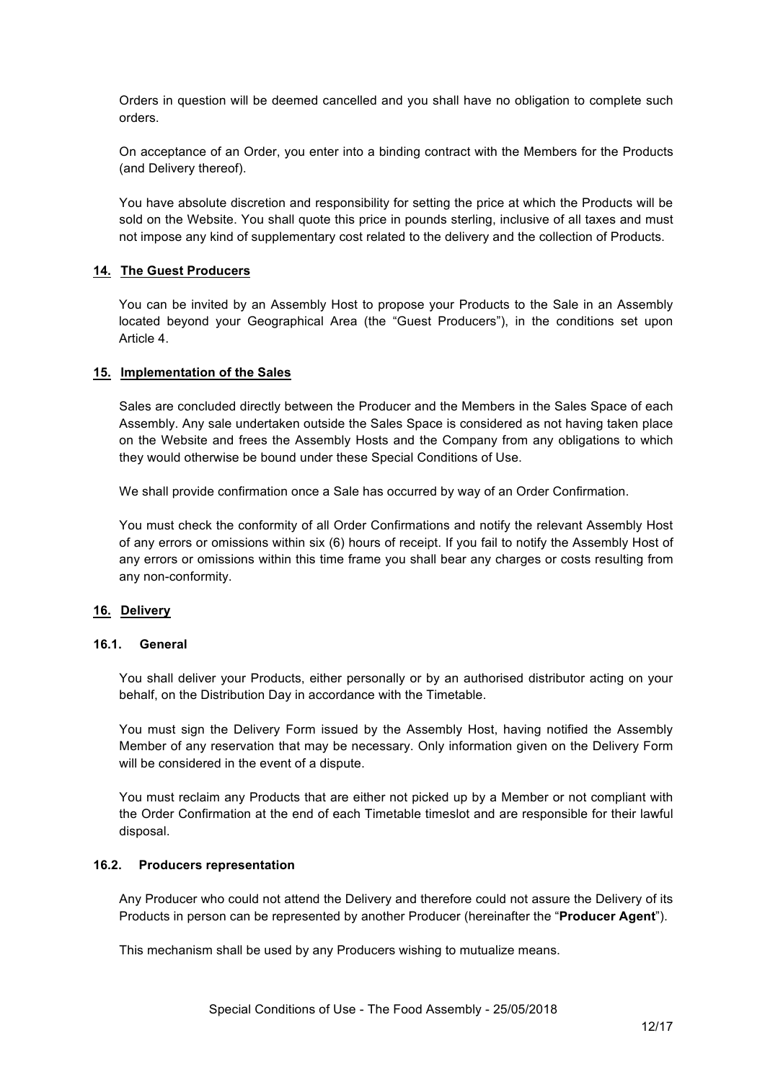Orders in question will be deemed cancelled and you shall have no obligation to complete such orders.

On acceptance of an Order, you enter into a binding contract with the Members for the Products (and Delivery thereof).

You have absolute discretion and responsibility for setting the price at which the Products will be sold on the Website. You shall quote this price in pounds sterling, inclusive of all taxes and must not impose any kind of supplementary cost related to the delivery and the collection of Products.

### **14. The Guest Producers**

You can be invited by an Assembly Host to propose your Products to the Sale in an Assembly located beyond your Geographical Area (the "Guest Producers"), in the conditions set upon Article 4.

#### **15. Implementation of the Sales**

Sales are concluded directly between the Producer and the Members in the Sales Space of each Assembly. Any sale undertaken outside the Sales Space is considered as not having taken place on the Website and frees the Assembly Hosts and the Company from any obligations to which they would otherwise be bound under these Special Conditions of Use.

We shall provide confirmation once a Sale has occurred by way of an Order Confirmation.

You must check the conformity of all Order Confirmations and notify the relevant Assembly Host of any errors or omissions within six (6) hours of receipt. If you fail to notify the Assembly Host of any errors or omissions within this time frame you shall bear any charges or costs resulting from any non-conformity.

#### **16. Delivery**

### **16.1. General**

You shall deliver your Products, either personally or by an authorised distributor acting on your behalf, on the Distribution Day in accordance with the Timetable.

You must sign the Delivery Form issued by the Assembly Host, having notified the Assembly Member of any reservation that may be necessary. Only information given on the Delivery Form will be considered in the event of a dispute.

You must reclaim any Products that are either not picked up by a Member or not compliant with the Order Confirmation at the end of each Timetable timeslot and are responsible for their lawful disposal.

#### **16.2. Producers representation**

Any Producer who could not attend the Delivery and therefore could not assure the Delivery of its Products in person can be represented by another Producer (hereinafter the "**Producer Agent**").

This mechanism shall be used by any Producers wishing to mutualize means.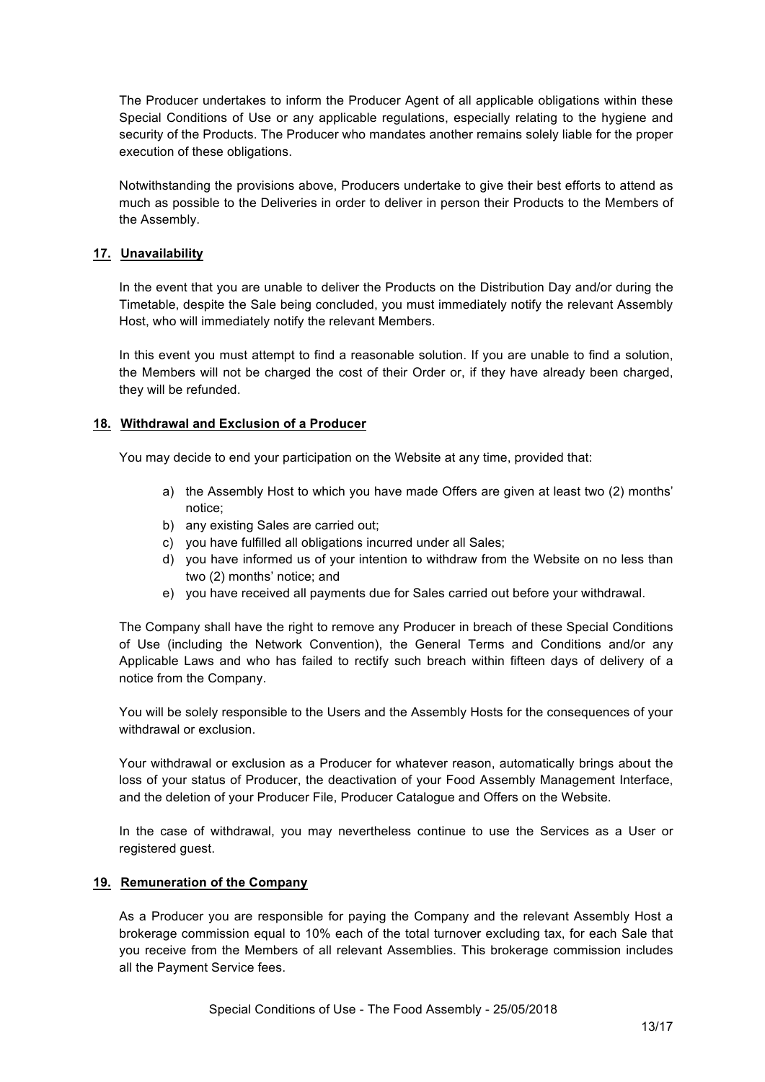The Producer undertakes to inform the Producer Agent of all applicable obligations within these Special Conditions of Use or any applicable regulations, especially relating to the hygiene and security of the Products. The Producer who mandates another remains solely liable for the proper execution of these obligations.

Notwithstanding the provisions above, Producers undertake to give their best efforts to attend as much as possible to the Deliveries in order to deliver in person their Products to the Members of the Assembly.

### **17. Unavailability**

In the event that you are unable to deliver the Products on the Distribution Day and/or during the Timetable, despite the Sale being concluded, you must immediately notify the relevant Assembly Host, who will immediately notify the relevant Members.

In this event you must attempt to find a reasonable solution. If you are unable to find a solution, the Members will not be charged the cost of their Order or, if they have already been charged, they will be refunded.

### **18. Withdrawal and Exclusion of a Producer**

You may decide to end your participation on the Website at any time, provided that:

- a) the Assembly Host to which you have made Offers are given at least two (2) months' notice;
- b) any existing Sales are carried out;
- c) you have fulfilled all obligations incurred under all Sales;
- d) you have informed us of your intention to withdraw from the Website on no less than two (2) months' notice; and
- e) you have received all payments due for Sales carried out before your withdrawal.

The Company shall have the right to remove any Producer in breach of these Special Conditions of Use (including the Network Convention), the General Terms and Conditions and/or any Applicable Laws and who has failed to rectify such breach within fifteen days of delivery of a notice from the Company.

You will be solely responsible to the Users and the Assembly Hosts for the consequences of your withdrawal or exclusion.

Your withdrawal or exclusion as a Producer for whatever reason, automatically brings about the loss of your status of Producer, the deactivation of your Food Assembly Management Interface, and the deletion of your Producer File, Producer Catalogue and Offers on the Website.

In the case of withdrawal, you may nevertheless continue to use the Services as a User or registered guest.

#### **19. Remuneration of the Company**

As a Producer you are responsible for paying the Company and the relevant Assembly Host a brokerage commission equal to 10% each of the total turnover excluding tax, for each Sale that you receive from the Members of all relevant Assemblies. This brokerage commission includes all the Payment Service fees.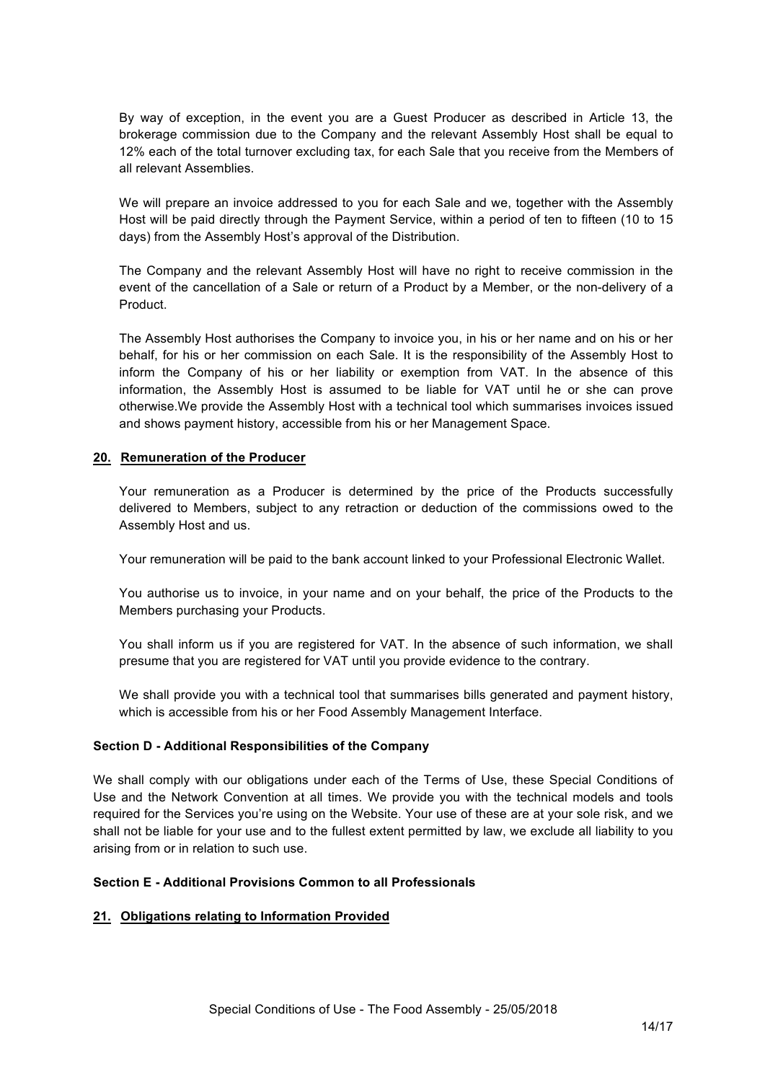By way of exception, in the event you are a Guest Producer as described in Article 13, the brokerage commission due to the Company and the relevant Assembly Host shall be equal to 12% each of the total turnover excluding tax, for each Sale that you receive from the Members of all relevant Assemblies.

We will prepare an invoice addressed to you for each Sale and we, together with the Assembly Host will be paid directly through the Payment Service, within a period of ten to fifteen (10 to 15 days) from the Assembly Host's approval of the Distribution.

The Company and the relevant Assembly Host will have no right to receive commission in the event of the cancellation of a Sale or return of a Product by a Member, or the non-delivery of a Product.

The Assembly Host authorises the Company to invoice you, in his or her name and on his or her behalf, for his or her commission on each Sale. It is the responsibility of the Assembly Host to inform the Company of his or her liability or exemption from VAT. In the absence of this information, the Assembly Host is assumed to be liable for VAT until he or she can prove otherwise.We provide the Assembly Host with a technical tool which summarises invoices issued and shows payment history, accessible from his or her Management Space.

#### **20. Remuneration of the Producer**

Your remuneration as a Producer is determined by the price of the Products successfully delivered to Members, subject to any retraction or deduction of the commissions owed to the Assembly Host and us.

Your remuneration will be paid to the bank account linked to your Professional Electronic Wallet.

You authorise us to invoice, in your name and on your behalf, the price of the Products to the Members purchasing your Products.

You shall inform us if you are registered for VAT. In the absence of such information, we shall presume that you are registered for VAT until you provide evidence to the contrary.

We shall provide you with a technical tool that summarises bills generated and payment history, which is accessible from his or her Food Assembly Management Interface.

#### **Section D - Additional Responsibilities of the Company**

We shall comply with our obligations under each of the Terms of Use, these Special Conditions of Use and the Network Convention at all times. We provide you with the technical models and tools required for the Services you're using on the Website. Your use of these are at your sole risk, and we shall not be liable for your use and to the fullest extent permitted by law, we exclude all liability to you arising from or in relation to such use.

### **Section E - Additional Provisions Common to all Professionals**

### **21. Obligations relating to Information Provided**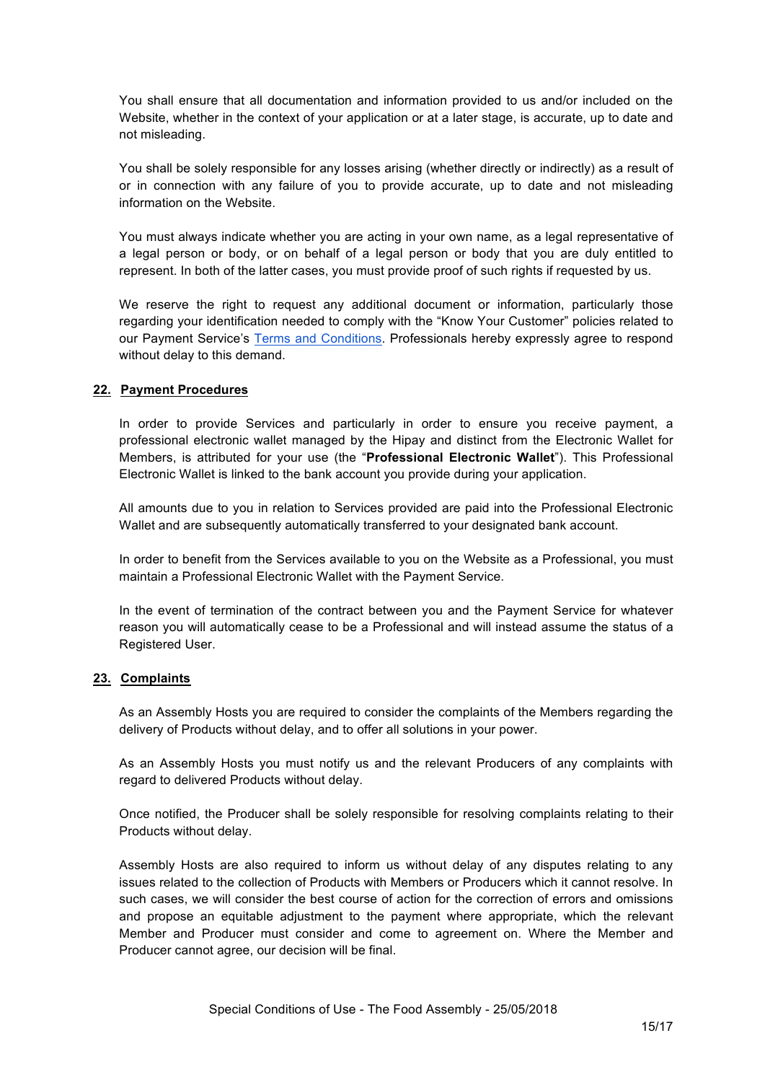You shall ensure that all documentation and information provided to us and/or included on the Website, whether in the context of your application or at a later stage, is accurate, up to date and not misleading.

You shall be solely responsible for any losses arising (whether directly or indirectly) as a result of or in connection with any failure of you to provide accurate, up to date and not misleading information on the Website.

You must always indicate whether you are acting in your own name, as a legal representative of a legal person or body, or on behalf of a legal person or body that you are duly entitled to represent. In both of the latter cases, you must provide proof of such rights if requested by us.

We reserve the right to request any additional document or information, particularly those regarding your identification needed to comply with the "Know Your Customer" policies related to our Payment Service's Terms and Conditions. Professionals hereby expressly agree to respond without delay to this demand.

#### **22. Payment Procedures**

In order to provide Services and particularly in order to ensure you receive payment, a professional electronic wallet managed by the Hipay and distinct from the Electronic Wallet for Members, is attributed for your use (the "**Professional Electronic Wallet**"). This Professional Electronic Wallet is linked to the bank account you provide during your application.

All amounts due to you in relation to Services provided are paid into the Professional Electronic Wallet and are subsequently automatically transferred to your designated bank account.

In order to benefit from the Services available to you on the Website as a Professional, you must maintain a Professional Electronic Wallet with the Payment Service.

In the event of termination of the contract between you and the Payment Service for whatever reason you will automatically cease to be a Professional and will instead assume the status of a Registered User.

#### **23. Complaints**

As an Assembly Hosts you are required to consider the complaints of the Members regarding the delivery of Products without delay, and to offer all solutions in your power.

As an Assembly Hosts you must notify us and the relevant Producers of any complaints with regard to delivered Products without delay.

Once notified, the Producer shall be solely responsible for resolving complaints relating to their Products without delay.

Assembly Hosts are also required to inform us without delay of any disputes relating to any issues related to the collection of Products with Members or Producers which it cannot resolve. In such cases, we will consider the best course of action for the correction of errors and omissions and propose an equitable adjustment to the payment where appropriate, which the relevant Member and Producer must consider and come to agreement on. Where the Member and Producer cannot agree, our decision will be final.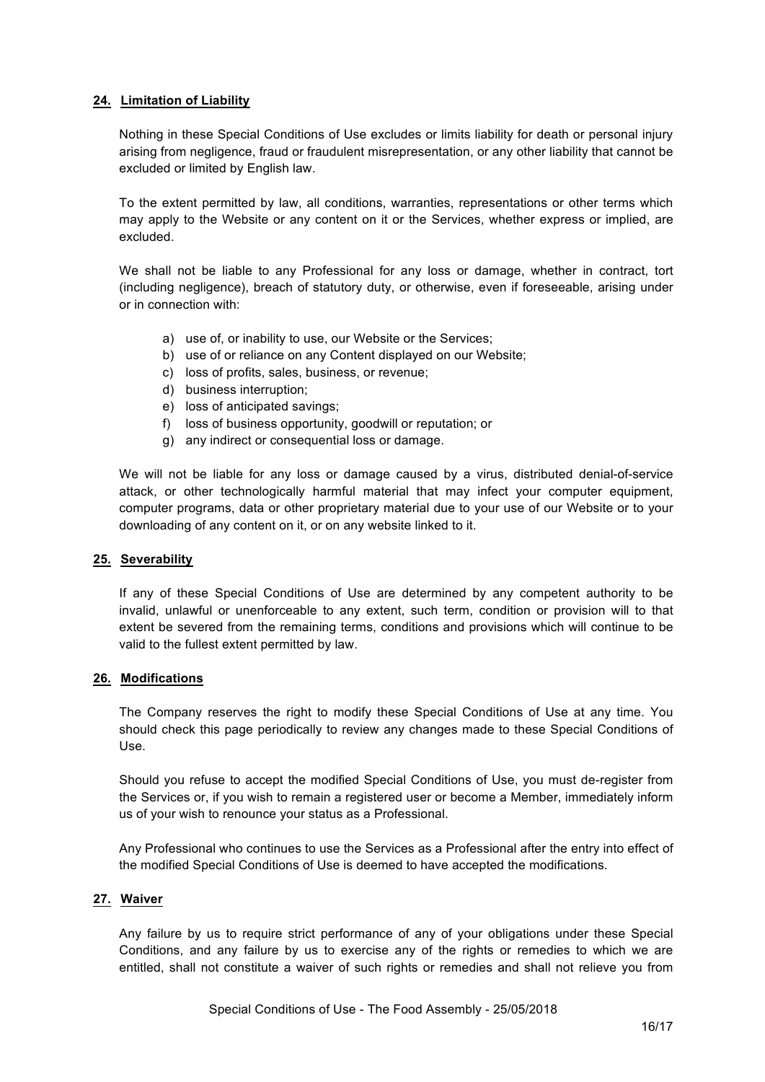### **24. Limitation of Liability**

Nothing in these Special Conditions of Use excludes or limits liability for death or personal injury arising from negligence, fraud or fraudulent misrepresentation, or any other liability that cannot be excluded or limited by English law.

To the extent permitted by law, all conditions, warranties, representations or other terms which may apply to the Website or any content on it or the Services, whether express or implied, are excluded.

We shall not be liable to any Professional for any loss or damage, whether in contract, tort (including negligence), breach of statutory duty, or otherwise, even if foreseeable, arising under or in connection with:

- a) use of, or inability to use, our Website or the Services;
- b) use of or reliance on any Content displayed on our Website;
- c) loss of profits, sales, business, or revenue;
- d) business interruption;
- e) loss of anticipated savings;
- f) loss of business opportunity, goodwill or reputation; or
- g) any indirect or consequential loss or damage.

We will not be liable for any loss or damage caused by a virus, distributed denial-of-service attack, or other technologically harmful material that may infect your computer equipment, computer programs, data or other proprietary material due to your use of our Website or to your downloading of any content on it, or on any website linked to it.

#### **25. Severability**

If any of these Special Conditions of Use are determined by any competent authority to be invalid, unlawful or unenforceable to any extent, such term, condition or provision will to that extent be severed from the remaining terms, conditions and provisions which will continue to be valid to the fullest extent permitted by law.

#### **26. Modifications**

The Company reserves the right to modify these Special Conditions of Use at any time. You should check this page periodically to review any changes made to these Special Conditions of Use.

Should you refuse to accept the modified Special Conditions of Use, you must de-register from the Services or, if you wish to remain a registered user or become a Member, immediately inform us of your wish to renounce your status as a Professional.

Any Professional who continues to use the Services as a Professional after the entry into effect of the modified Special Conditions of Use is deemed to have accepted the modifications.

#### **27. Waiver**

Any failure by us to require strict performance of any of your obligations under these Special Conditions, and any failure by us to exercise any of the rights or remedies to which we are entitled, shall not constitute a waiver of such rights or remedies and shall not relieve you from